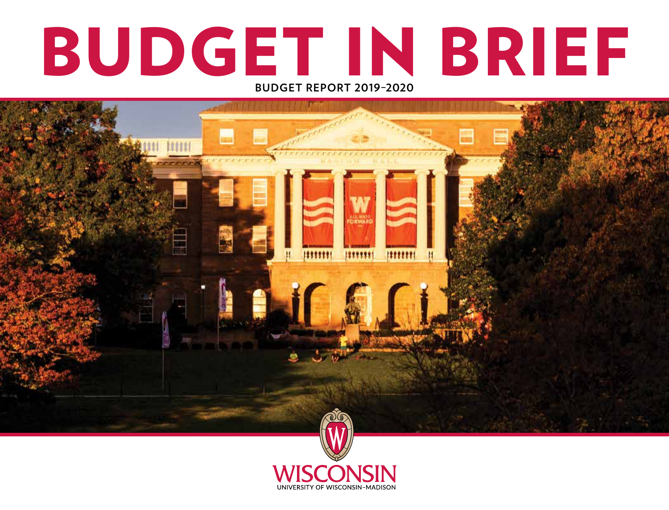# BUDGET IN BRIEF **BUDGET REPORT 2019–2020**

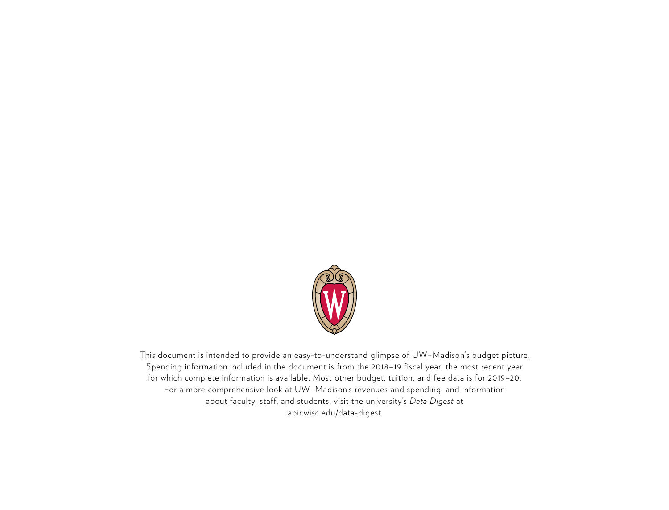

This document is intended to provide an easy-to-understand glimpse of UW–Madison's budget picture. Spending information included in the document is from the 2018–19 fiscal year, the most recent year for which complete information is available. Most other budget, tuition, and fee data is for 2019–20. For a more comprehensive look at UW–Madison's revenues and spending, and information about faculty, staff, and students, visit the university's *Data Digest* at apir.wisc.edu/data-digest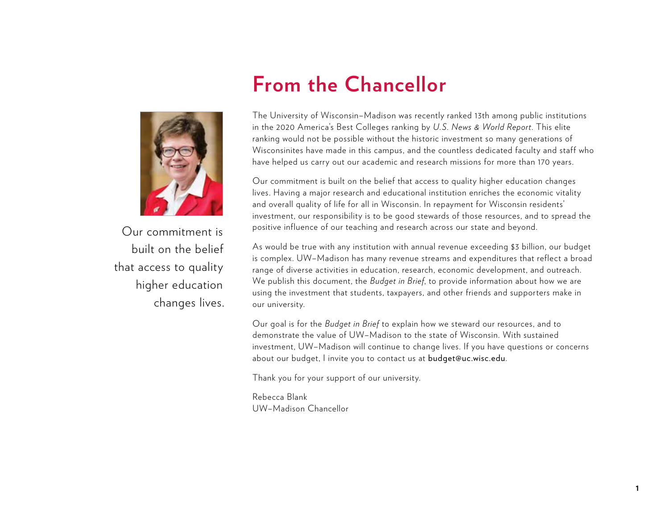

Our commitment is built on the belief that access to quality higher education changes lives.

### **From the Chancellor**

The University of Wisconsin–Madison was recently ranked 13th among public institutions in the 2020 America's Best Colleges ranking by *U.S. News & World Report*. This elite ranking would not be possible without the historic investment so many generations of Wisconsinites have made in this campus, and the countless dedicated faculty and staff who have helped us carry out our academic and research missions for more than 170 years.

Our commitment is built on the belief that access to quality higher education changes lives. Having a major research and educational institution enriches the economic vitality and overall quality of life for all in Wisconsin. In repayment for Wisconsin residents' investment, our responsibility is to be good stewards of those resources, and to spread the positive influence of our teaching and research across our state and beyond.

As would be true with any institution with annual revenue exceeding \$3 billion, our budget is complex. UW–Madison has many revenue streams and expenditures that reflect a broad range of diverse activities in education, research, economic development, and outreach. We publish this document, the *Budget in Brief*, to provide information about how we are using the investment that students, taxpayers, and other friends and supporters make in our university.

Our goal is for the *Budget in Brief* to explain how we steward our resources, and to demonstrate the value of UW–Madison to the state of Wisconsin. With sustained investment, UW–Madison will continue to change lives. If you have questions or concerns about our budget, I invite you to contact us at budget@uc.wisc.edu.

Thank you for your support of our university.

Rebecca Blank UW–Madison Chancellor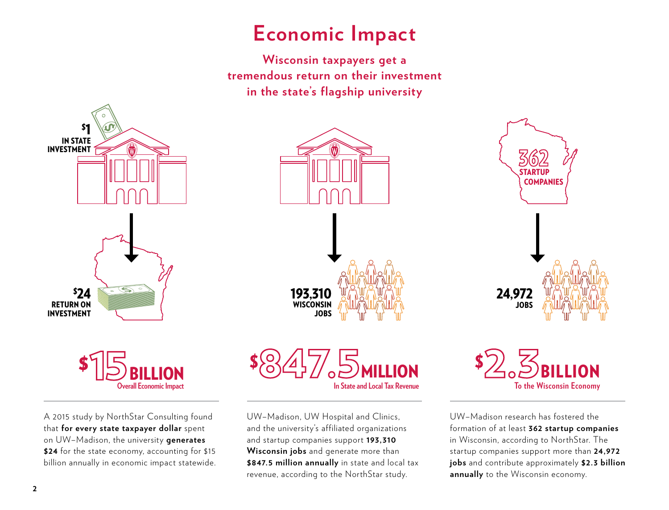### **Economic Impact**

**Wisconsin taxpayers get a tremendous return on their investment in the state's flagship university**





A 2015 study by NorthStar Consulting found that **for every state taxpayer dollar** spent on UW–Madison, the university **generates \$24** for the state economy, accounting for \$15 billion annually in economic impact statewide.





UW–Madison, UW Hospital and Clinics, and the university's affiliated organizations and startup companies support **193,310 Wisconsin jobs** and generate more than **\$847.5 million annually** in state and local tax revenue, according to the NorthStar study.



UW–Madison research has fostered the formation of at least **362 startup companies** in Wisconsin, according to NorthStar. The startup companies support more than **24,972 jobs** and contribute approximately **\$2.3 billion annually** to the Wisconsin economy.

2.3BILLION **To the Wisconsin Economy**

\$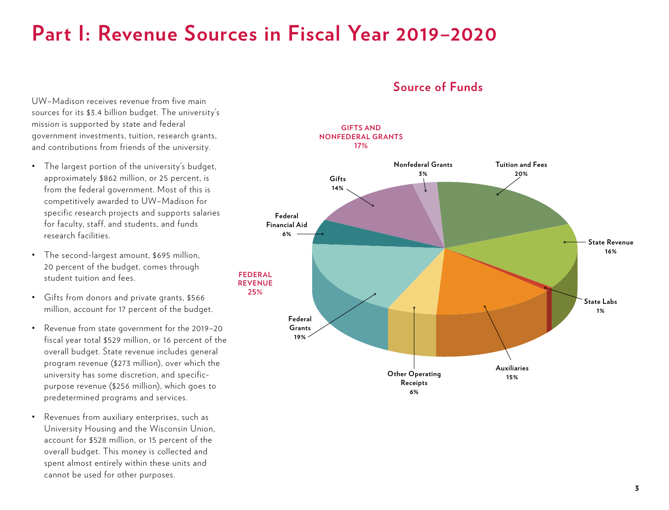### **Part I: Revenue Sources in Fiscal Year 2019–2020**

UW–Madison receives revenue from five main sources for its \$3.4 billion budget. The university's mission is supported by state and federal government investments, tuition, research grants, and contributions from friends of the university.

- The largest portion of the university's budget, approximately \$862 million, or 25 percent, is from the federal government. Most of this is competitively awarded to UW–Madison for specific research projects and supports salaries for faculty, staff, and students, and funds research facilities.
- The second-largest amount, \$695 million, 20 percent of the budget, comes through student tuition and fees.
- Gifts from donors and private grants, \$566 million, account for 17 percent of the budget.
- Revenue from state government for the 2019–20 fiscal year total \$529 million, or 16 percent of the overall budget. State revenue includes general program revenue (\$273 million), over which the university has some discretion, and specificpurpose revenue (\$256 million), which goes to predetermined programs and services.
- Revenues from auxiliary enterprises, such as University Housing and the Wisconsin Union, account for \$528 million, or 15 percent of the overall budget. This money is collected and spent almost entirely within these units and cannot be used for other purposes.

#### **Source of Funds**

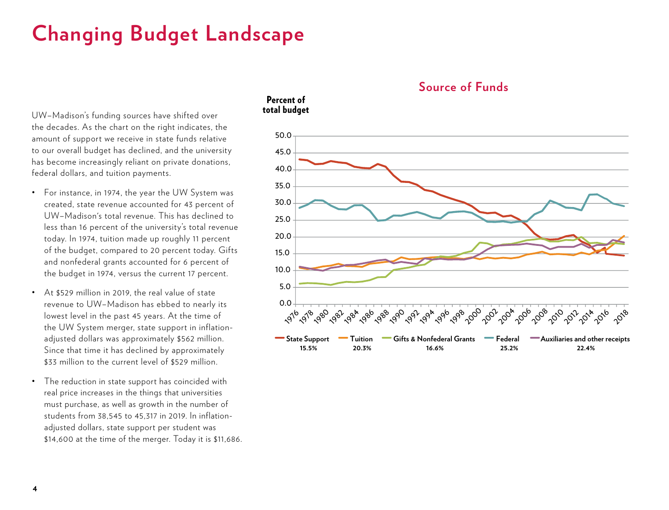# **Changing Budget Landscape**

UW–Madison's funding sources have shifted over the decades. As the chart on the right indicates, the amount of support we receive in state funds relative to our overall budget has declined, and the university has become increasingly reliant on private donations, federal dollars, and tuition payments.

- For instance, in 1974, the year the UW System was created, state revenue accounted for 43 percent of UW–Madison's total revenue. This has declined to less than 16 percent of the university's total revenue today. In 1974, tuition made up roughly 11 percent of the budget, compared to 20 percent today. Gifts and nonfederal grants accounted for 6 percent of the budget in 1974, versus the current 17 percent.
- At \$529 million in 2019, the real value of state revenue to UW–Madison has ebbed to nearly its lowest level in the past 45 years. At the time of the UW System merger, state support in inflationadjusted dollars was approximately \$562 million. Since that time it has declined by approximately \$33 million to the current level of \$529 million.
- The reduction in state support has coincided with real price increases in the things that universities must purchase, as well as growth in the number of students from 38,545 to 45,317 in 2019. In inflationadjusted dollars, state support per student was \$14,600 at the time of the merger. Today it is \$11,686.

#### Percent of total budget



**Source of Funds**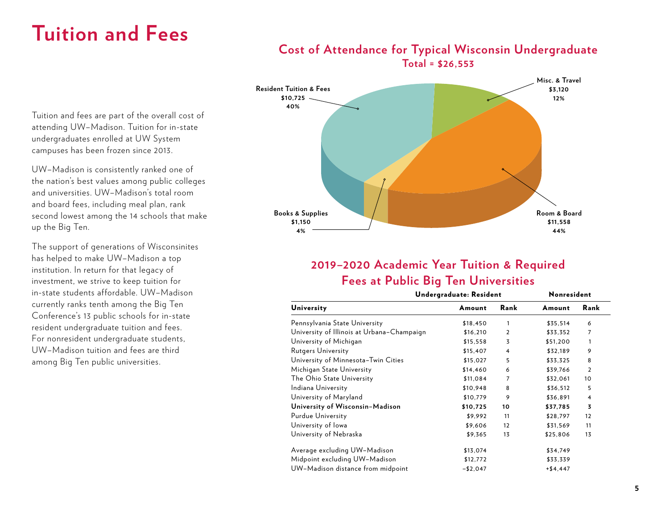### **Tuition and Fees**

#### **Resident Tuition & Fees \$10,725 40% Books & Supplies \$1,150 4% Room & Board \$11,558 44% Misc. & Travel \$3,120 12%**

#### **Cost of Attendance for Typical Wisconsin Undergraduate Total = \$26,553**

### **2019–2020 Academic Year Tuition & Required Fees at Public Big Ten Universities**

|                                            | Undergraduate: Resident | Nonresident |            |                |
|--------------------------------------------|-------------------------|-------------|------------|----------------|
| University                                 | Amount                  | Rank        | Amount     | Rank           |
| Pennsylvania State University              | \$18,450                | 1           | \$35,514   | 6              |
| University of Illinois at Urbana-Champaign | \$16,210                | 2           | \$33,352   | 7              |
| University of Michigan                     | \$15,558                | 3           | \$51,200   | 1              |
| <b>Rutgers University</b>                  | \$15,407                | 4           | \$32,189   | 9              |
| University of Minnesota-Twin Cities        | \$15,027                | 5           | \$33,325   | 8              |
| Michigan State University                  | \$14,460                | 6           | \$39,766   | $\overline{2}$ |
| The Ohio State University                  | \$11,084                | 7           | \$32,061   | 10             |
| Indiana University                         | \$10,948                | 8           | \$36,512   | 5              |
| University of Maryland                     | \$10,779                | 9           | \$36,891   | 4              |
| University of Wisconsin-Madison            | \$10,725                | 10          | \$37,785   | 3              |
| <b>Purdue University</b>                   | \$9,992                 | 11          | \$28,797   | 12             |
| University of lowa                         | \$9,606                 | 12          | \$31,569   | 11             |
| University of Nebraska                     | \$9,365                 | 13          | \$25,806   | 13             |
| Average excluding UW-Madison               | \$13,074                |             | \$34,749   |                |
| Midpoint excluding UW-Madison              | \$12,772                |             | \$33,339   |                |
| UW-Madison distance from midpoint          | $- $2,047$              |             | $+ $4,447$ |                |

Tuition and fees are part of the overall cost of attending UW–Madison. Tuition for in-state undergraduates enrolled at UW System campuses has been frozen since 2013.

UW–Madison is consistently ranked one of the nation's best values among public colleges and universities. UW–Madison's total room and board fees, including meal plan, rank second lowest among the 14 schools that make up the Big Ten.

The support of generations of Wisconsinites has helped to make UW–Madison a top institution. In return for that legacy of investment, we strive to keep tuition for in-state students affordable. UW–Madison currently ranks tenth among the Big Ten Conference's 13 public schools for in-state resident undergraduate tuition and fees. For nonresident undergraduate students, UW–Madison tuition and fees are third among Big Ten public universities.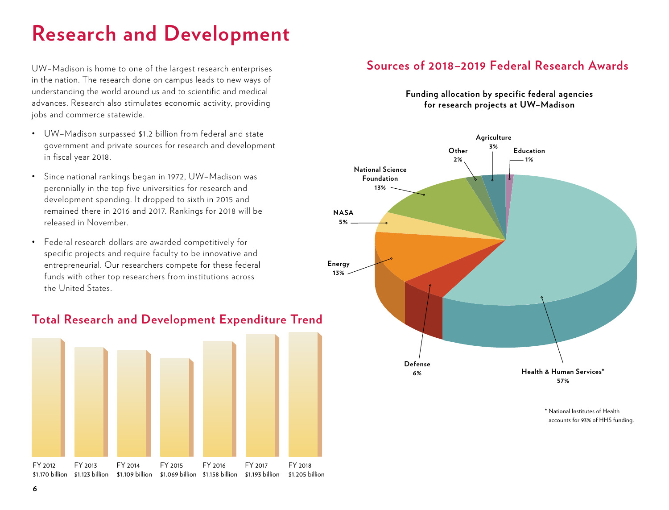# **Research and Development**

UW–Madison is home to one of the largest research enterprises in the nation. The research done on campus leads to new ways of understanding the world around us and to scientific and medical advances. Research also stimulates economic activity, providing jobs and commerce statewide.

- UW–Madison surpassed \$1.2 billion from federal and state government and private sources for research and development in fiscal year 2018.
- Since national rankings began in 1972, UW–Madison was perennially in the top five universities for research and development spending. It dropped to sixth in 2015 and remained there in 2016 and 2017. Rankings for 2018 will be released in November.
- Federal research dollars are awarded competitively for specific projects and require faculty to be innovative and entrepreneurial. Our researchers compete for these federal funds with other top researchers from institutions across the United States.



#### **Total Research and Development Expenditure Trend**

#### **Sources of 2018–2019 Federal Research Awards**

**Funding allocation by specific federal agencies for research projects at UW–Madison**



\* National Institutes of Health accounts for 93% of HHS funding.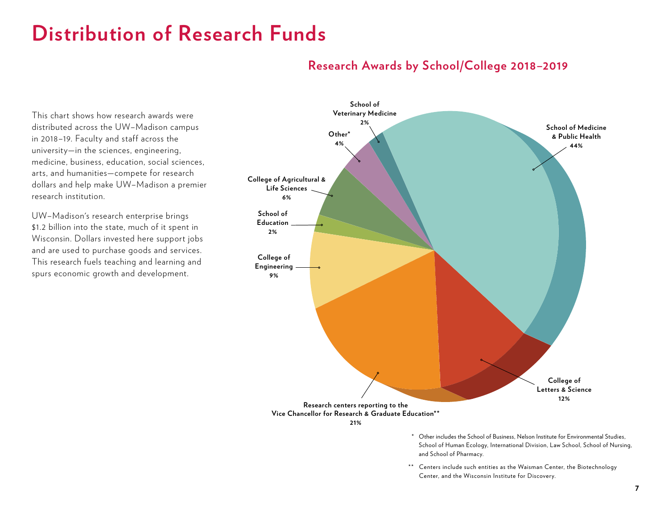### **Distribution of Research Funds**

#### **Research Awards by School/College 2018–2019**

This chart shows how research awards were distributed across the UW–Madison campus in 2018–19. Faculty and staff across the university—in the sciences, engineering, medicine, business, education, social sciences, arts, and humanities—compete for research dollars and help make UW–Madison a premier research institution.

UW–Madison's research enterprise brings \$1.2 billion into the state, much of it spent in Wisconsin. Dollars invested here support jobs and are used to purchase goods and services. This research fuels teaching and learning and spurs economic growth and development.



\*\* Centers include such entities as the Waisman Center, the Biotechnology Center, and the Wisconsin Institute for Discovery.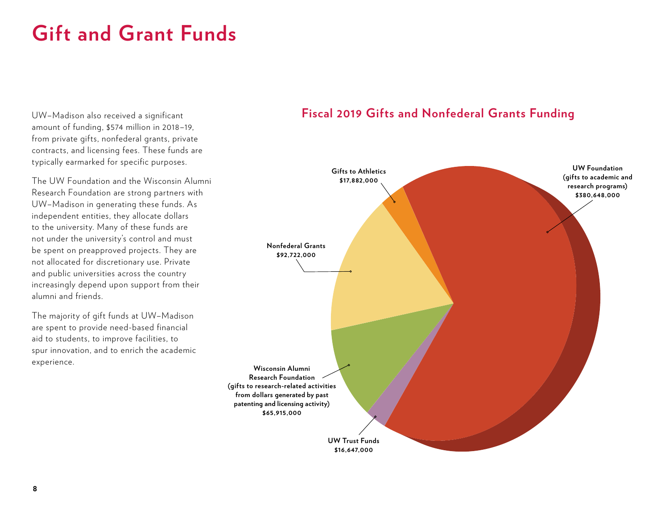## **Gift and Grant Funds**

UW–Madison also received a significant amount of funding, \$574 million in 2018–19, from private gifts, nonfederal grants, private contracts, and licensing fees. These funds are typically earmarked for specific purposes.

The UW Foundation and the Wisconsin Alumni Research Foundation are strong partners with UW–Madison in generating these funds. As independent entities, they allocate dollars to the university. Many of these funds are not under the university's control and must be spent on preapproved projects. They are not allocated for discretionary use. Private and public universities across the country increasingly depend upon support from their alumni and friends.

The majority of gift funds at UW–Madison are spent to provide need-based financial aid to students, to improve facilities, to spur innovation, and to enrich the academic experience.

#### **Fiscal 2019 Gifts and Nonfederal Grants Funding**

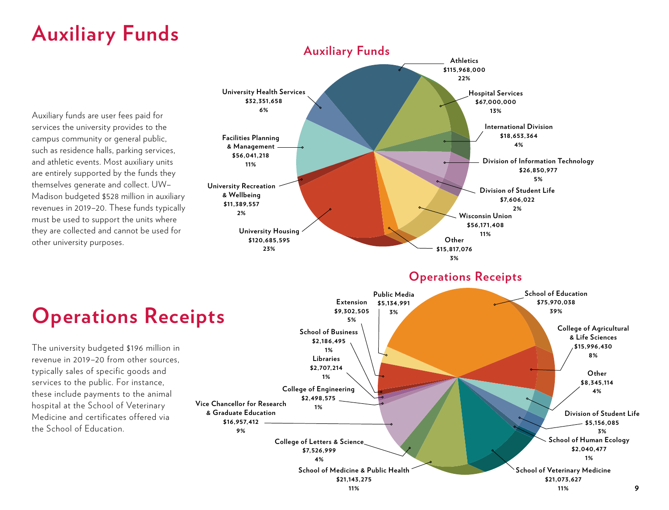# **Auxiliary Funds**

Auxiliary funds are user fees paid for services the university provides to the campus community or general public, such as residence halls, parking services, and athletic events. Most auxiliary units are entirely supported by the funds they themselves generate and collect. UW– Madison budgeted \$528 million in auxiliary revenues in 2019–20. These funds typically must be used to support the units where they are collected and cannot be used for other university purposes.



#### **Operations Receipts**

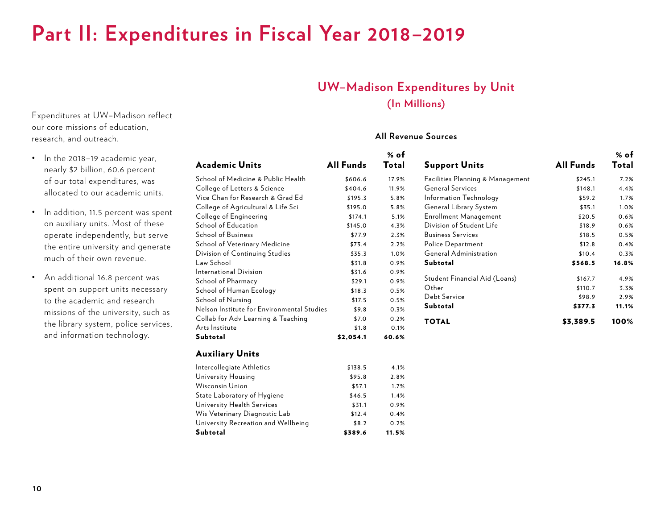### **Part II: Expenditures in Fiscal Year 2018–2019**

#### **UW–Madison Expenditures by Unit (In Millions)**

#### **All Revenue Sources**

|   | <b>Academic Units</b>                                            | <b>All Funds</b> | $%$ of<br><b>Total</b> | <b>Support Units</b>                                     | <b>All Funds</b> | % of<br><b>Total</b> |
|---|------------------------------------------------------------------|------------------|------------------------|----------------------------------------------------------|------------------|----------------------|
|   | School of Medicine & Public Health                               | \$606.6          | 17.9%                  | Facilities Planning & Management                         | \$245.1          | 7.2%                 |
|   |                                                                  | \$404.6          | 11.9%                  | <b>General Services</b>                                  |                  |                      |
|   | College of Letters & Science<br>Vice Chan for Research & Grad Ed |                  |                        |                                                          | \$148.1          | 4.4%                 |
|   |                                                                  | \$195.3          | 5.8%                   | Information Technology                                   | \$59.2           | 1.7%                 |
| t | College of Agricultural & Life Sci                               | \$195.0          | 5.8%                   | General Library System                                   | \$35.1           | 1.0%                 |
|   | College of Engineering<br>School of Education                    | \$174.1          | 5.1%                   | <b>Enrollment Management</b><br>Division of Student Life | \$20.5           | 0.6%                 |
|   |                                                                  | \$145.0          | 4.3%                   |                                                          | \$18.9           | 0.6%                 |
|   | <b>School of Business</b>                                        | \$77.9           | 2.3%                   | <b>Business Services</b>                                 | \$18.5           | 0.5%                 |
|   | School of Veterinary Medicine                                    | \$73.4           | 2.2%                   | Police Department                                        | \$12.8           | 0.4%                 |
|   | Division of Continuing Studies                                   | \$35.3           | 1.0%                   | <b>General Administration</b>                            | \$10.4           | 0.3%                 |
|   | Law School                                                       | \$31.8           | 0.9%                   | <b>Subtotal</b>                                          | \$568.5          | 16.8%                |
|   | International Division                                           | \$31.6           | 0.9%                   | Student Financial Aid (Loans)                            | \$167.7          | 4.9%                 |
|   | School of Pharmacy                                               | \$29.1           | 0.9%                   | Other                                                    | \$110.7          | 3.3%                 |
|   | School of Human Ecology                                          | \$18.3           | 0.5%                   | Debt Service                                             | \$98.9           | 2.9%                 |
|   | School of Nursing                                                | \$17.5           | 0.5%                   | <b>Subtotal</b>                                          |                  |                      |
|   | Nelson Institute for Environmental Studies                       | \$9.8            | 0.3%                   |                                                          | \$377.3          | 11.1%                |
|   | Collab for Adv Learning & Teaching                               | \$7.0            | 0.2%                   | <b>TOTAL</b>                                             | \$3,389.5        | 100%                 |
|   | Arts Institute                                                   | \$1.8            | 0.1%                   |                                                          |                  |                      |
|   | <b>Subtotal</b>                                                  | \$2,054.1        | 60.6%                  |                                                          |                  |                      |
|   | <b>Auxiliary Units</b>                                           |                  |                        |                                                          |                  |                      |
|   | Intercollegiate Athletics                                        | \$138.5          | 4.1%                   |                                                          |                  |                      |
|   | University Housing                                               | \$95.8           | 2.8%                   |                                                          |                  |                      |
|   | <b>Wisconsin Union</b>                                           | \$57.1           | 1.7%                   |                                                          |                  |                      |
|   | State Laboratory of Hygiene                                      | \$46.5           | 1.4%                   |                                                          |                  |                      |
|   | University Health Services                                       | \$31.1           | 0.9%                   |                                                          |                  |                      |
|   | Wis Veterinary Diagnostic Lab                                    | \$12.4           | 0.4%                   |                                                          |                  |                      |
|   | University Recreation and Wellbeing                              | \$8.2            | 0.2%                   |                                                          |                  |                      |
|   | <b>Subtotal</b>                                                  | \$389.6          | 11.5%                  |                                                          |                  |                      |
|   |                                                                  |                  |                        |                                                          |                  |                      |

Expenditures at UW–Madison reflect our core missions of education, research, and outreach.

- In the 2018–19 academic year, nearly \$2 billion, 60.6 percent of our total expenditures, was allocated to our academic units.
- In addition, 11.5 percent was spent on auxiliary units. Most of these operate independently, but serve the entire university and generate much of their own revenue.
- An additional 16.8 percent was spent on support units necessary to the academic and research missions of the university, such as the library system, police services, and information technology.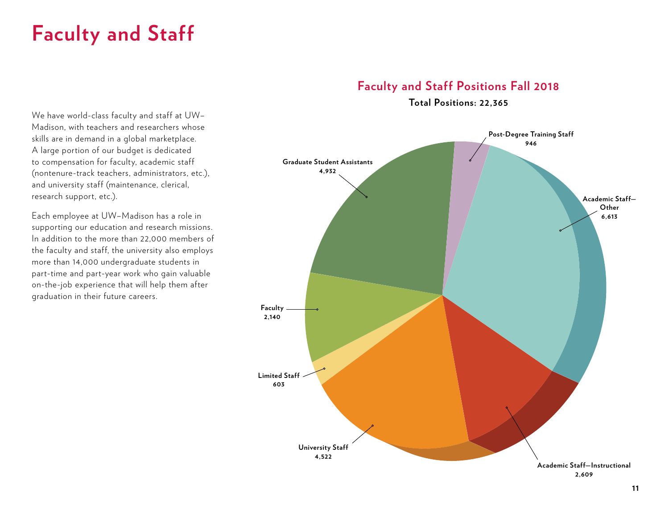### **Faculty and Staff**

### **Faculty and Staff Positions Fall 2018**

**Total Positions: 22,365**

We have world-class faculty and staff at UW– Madison, with teachers and researchers whose skills are in demand in a global marketplace. A large portion of our budget is dedicated to compensation for faculty, academic staff (nontenure-track teachers, administrators, etc.), and university staff (maintenance, clerical, research support, etc.).

Each employee at UW–Madison has a role in supporting our education and research missions. In addition to the more than 22,000 members of the faculty and staff, the university also employs more than 14,000 undergraduate students in part-time and part-year work who gain valuable on-the-job experience that will help them after graduation in their future careers.

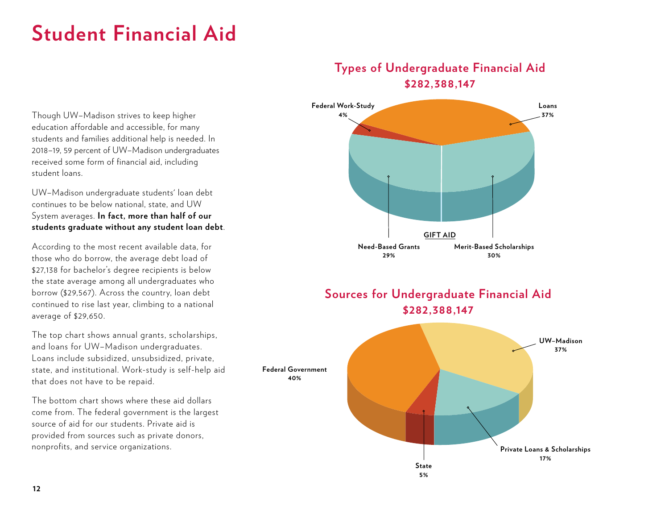## **Student Financial Aid**

#### **Types of Undergraduate Financial Aid \$282,388,147**

Though UW–Madison strives to keep higher **4%** education affordable and accessible, for many students and families additional help is needed. In 2018–19, 59 percent of UW–Madison undergraduates received some form of financial aid, including UW–Madison undergraduate students' loan debt

continues to be below national, state, and UW System averages. **In fact, more than half of our students graduate without any student loan debt**.

student loans.

According to the most recent available data, for those who do borrow, the average debt load of \$27,138 for bachelor's degree recipients is below the state average among all undergraduates who borrow (\$29,567). Across the country, loan debt continued to rise last year, climbing to a national average of \$29,650.

The top chart shows annual grants, scholarships, and loans for UW–Madison undergraduates. Loans include subsidized, unsubsidized, private, state, and institutional. Work-study is self-help aid that does not have to be repaid.

The bottom chart shows where these aid dollars come from. The federal government is the largest source of aid for our students. Private aid is provided from sources such as private donors, nonprofits, and service organizations.



**5%**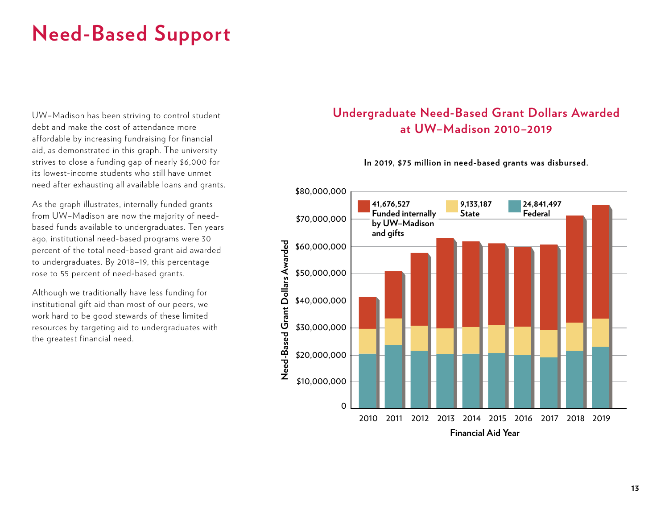# **Need-Based Support**

UW–Madison has been striving to control student debt and make the cost of attendance more affordable by increasing fundraising for financial aid, as demonstrated in this graph. The university strives to close a funding gap of nearly \$6,000 for its lowest-income students who still have unmet need after exhausting all available loans and grants.

As the graph illustrates, internally funded grants from UW–Madison are now the majority of needbased funds available to undergraduates. Ten years ago, institutional need-based programs were 30 percent of the total need-based grant aid awarded to undergraduates. By 2018–19, this percentage rose to 55 percent of need-based grants.

Although we traditionally have less funding for institutional gift aid than most of our peers, we work hard to be good stewards of these limited resources by targeting aid to undergraduates with the greatest financial need.

### **Undergraduate Need-Based Grant Dollars Awarded at UW–Madison 2010–2019**

#### **In 2019, \$75 million in need-based grants was disbursed.**

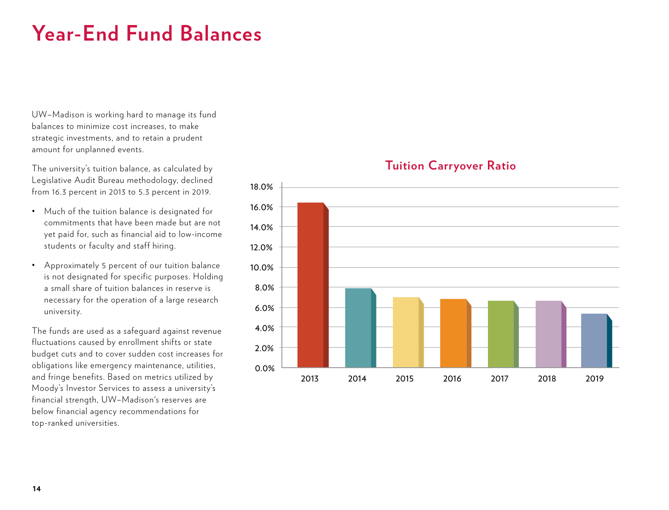## **Year-End Fund Balances**

UW–Madison is working hard to manage its fund balances to minimize cost increases, to make strategic investments, and to retain a prudent amount for unplanned events.

The university's tuition balance, as calculated by Legislative Audit Bureau methodology, declined from 16.3 percent in 2013 to 5.3 percent in 2019.

- Much of the tuition balance is designated for commitments that have been made but are not yet paid for, such as financial aid to low-income students or faculty and staff hiring.
- Approximately 5 percent of our tuition balance is not designated for specific purposes. Holding a small share of tuition balances in reserve is necessary for the operation of a large research university.

The funds are used as a safeguard against revenue fluctuations caused by enrollment shifts or state budget cuts and to cover sudden cost increases for obligations like emergency maintenance, utilities, and fringe benefits. Based on metrics utilized by Moody's Investor Services to assess a university's financial strength, UW–Madison's reserves are below financial agency recommendations for top-ranked universities.



#### **Tuition Carryover Ratio**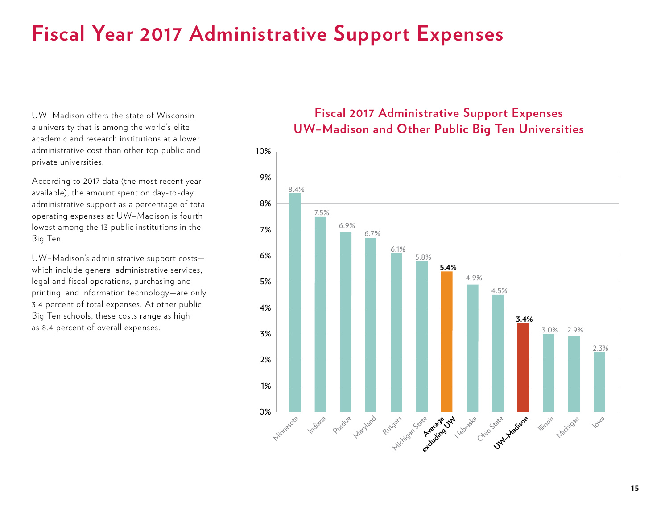### **Fiscal Year 2017 Administrative Support Expenses**

UW–Madison offers the state of Wisconsin a university that is among the world's elite academic and research institutions at a lower administrative cost than other top public and private universities.

According to 2017 data (the most recent year available), the amount spent on day-to-day administrative support as a percentage of total operating expenses at UW–Madison is fourth lowest among the 13 public institutions in the Big Ten.

UW–Madison's administrative support costs which include general administrative services, legal and fiscal operations, purchasing and printing, and information technology—are only 3.4 percent of total expenses. At other public Big Ten schools, these costs range as high as 8.4 percent of overall expenses.

#### **Fiscal 2017 Administrative Support Expenses UW–Madison and Other Public Big Ten Universities**

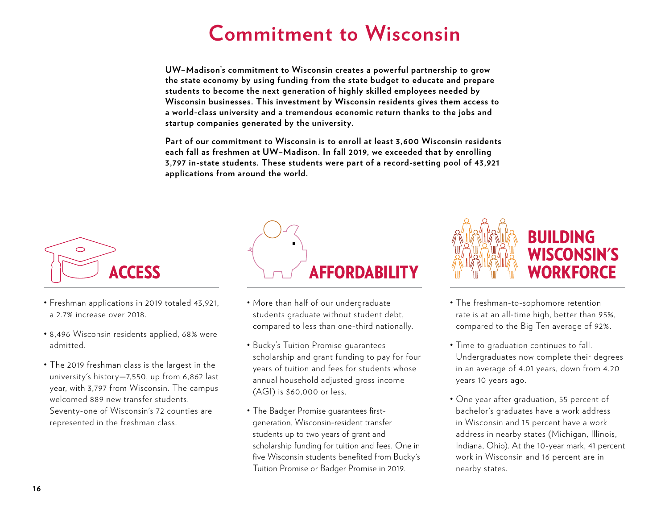### **Commitment to Wisconsin**

**UW–Madison's commitment to Wisconsin creates a powerful partnership to grow the state economy by using funding from the state budget to educate and prepare students to become the next generation of highly skilled employees needed by Wisconsin businesses. This investment by Wisconsin residents gives them access to a world-class university and a tremendous economic return thanks to the jobs and startup companies generated by the university.**

**Part of our commitment to Wisconsin is to enroll at least 3,600 Wisconsin residents each fall as freshmen at UW–Madison. In fall 2019, we exceeded that by enrolling 3,797 in-state students. These students were part of a record-setting pool of 43,921 applications from around the world.**



- Freshman applications in 2019 totaled 43,921, a 2.7% increase over 2018.
- 8,496 Wisconsin residents applied, 68% were admitted.
- The 2019 freshman class is the largest in the university's history—7,550, up from 6,862 last year, with 3,797 from Wisconsin. The campus welcomed 889 new transfer students. Seventy-one of Wisconsin's 72 counties are represented in the freshman class.



- More than half of our undergraduate students graduate without student debt, compared to less than one-third nationally.
- Bucky's Tuition Promise guarantees scholarship and grant funding to pay for four years of tuition and fees for students whose annual household adjusted gross income (AGI) is \$60,000 or less.
- The Badger Promise guarantees firstgeneration, Wisconsin-resident transfer students up to two years of grant and scholarship funding for tuition and fees. One in five Wisconsin students benefited from Bucky's Tuition Promise or Badger Promise in 2019.



- The freshman-to-sophomore retention rate is at an all-time high, better than 95%, compared to the Big Ten average of 92%.
- Time to graduation continues to fall. Undergraduates now complete their degrees in an average of 4.01 years, down from 4.20 years 10 years ago.
- One year after graduation, 55 percent of bachelor's graduates have a work address in Wisconsin and 15 percent have a work address in nearby states (Michigan, Illinois, Indiana, Ohio). At the 10-year mark, 41 percent work in Wisconsin and 16 percent are in nearby states.